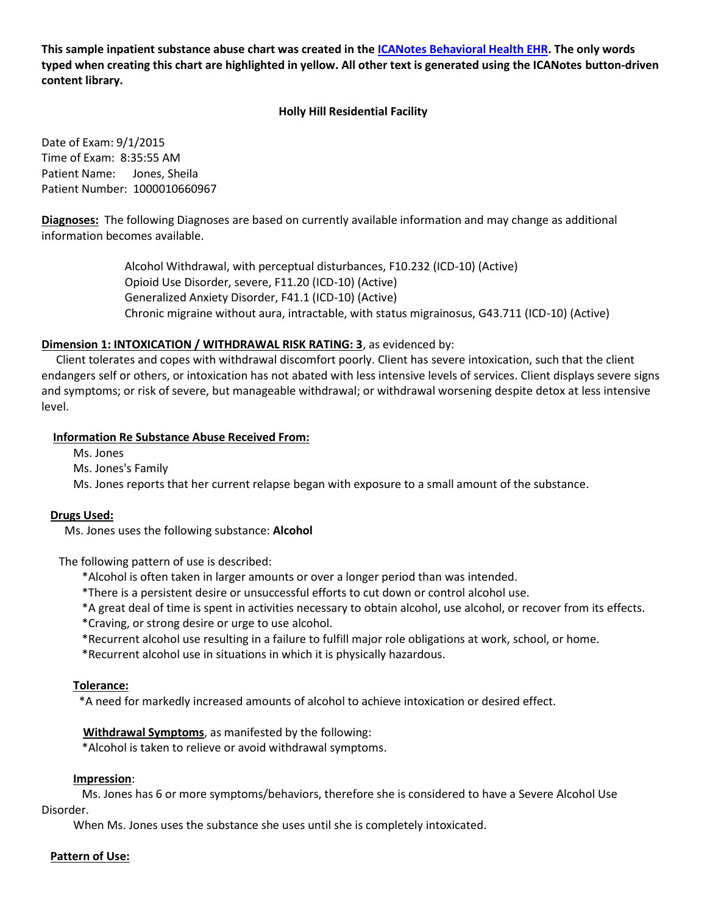This sample inpatient substance abuse chart was created in the ICANotes Behavioral Health EHR. The only words typed when creating this chart are highlighted in yellow. All other text is generated using the ICANotes button-driven content library.

### **Holly Hill Residential Facility**

Date of Exam: 9/1/2015 Time of Exam: 8:35:55 AM Patient Name: Jones, Sheila Patient Number: 1000010660967

**Diagnoses:** The following Diagnoses are based on currently available information and may change as additional information becomes available.

> Alcohol Withdrawal, with perceptual disturbances, F10.232 (ICD-10) (Active) Opioid Use Disorder, severe, F11.20 (ICD-10) (Active) Generalized Anxiety Disorder, F41.1 (ICD-10) (Active) Chronic migraine without aura, intractable, with status migrainosus, G43.711 (ICD-10) (Active)

## **Dimension 1: INTOXICATION / WITHDRAWAL RISK RATING: 3, as evidenced by:**

Client tolerates and copes with withdrawal discomfort poorly. Client has severe intoxication, such that the client endangers self or others, or intoxication has not abated with less intensive levels of services. Client displays severe signs and symptoms; or risk of severe, but manageable withdrawal; or withdrawal worsening despite detox at less intensive level.

#### **Information Re Substance Abuse Received From:**

Ms. Jones

Ms. Jones's Family

Ms. Jones reports that her current relapse began with exposure to a small amount of the substance.

#### Drugs Used:

Ms. Jones uses the following substance: Alcohol

The following pattern of use is described:

\*Alcohol is often taken in larger amounts or over a longer period than was intended.

\*There is a persistent desire or unsuccessful efforts to cut down or control alcohol use.

\*A great deal of time is spent in activities necessary to obtain alcohol, use alcohol, or recover from its effects.

- \*Craving, or strong desire or urge to use alcohol.
- \*Recurrent alcohol use resulting in a failure to fulfill major role obligations at work, school, or home.
- \*Recurrent alcohol use in situations in which it is physically hazardous.

#### Tolerance:

\*A need for markedly increased amounts of alcohol to achieve intoxication or desired effect.

#### **Withdrawal Symptoms**, as manifested by the following:

\*Alcohol is taken to relieve or avoid withdrawal symptoms.

#### Impression:

Ms. Jones has 6 or more symptoms/behaviors, therefore she is considered to have a Severe Alcohol Use Disorder.

When Ms. Jones uses the substance she uses until she is completely intoxicated.

#### Pattern of Use: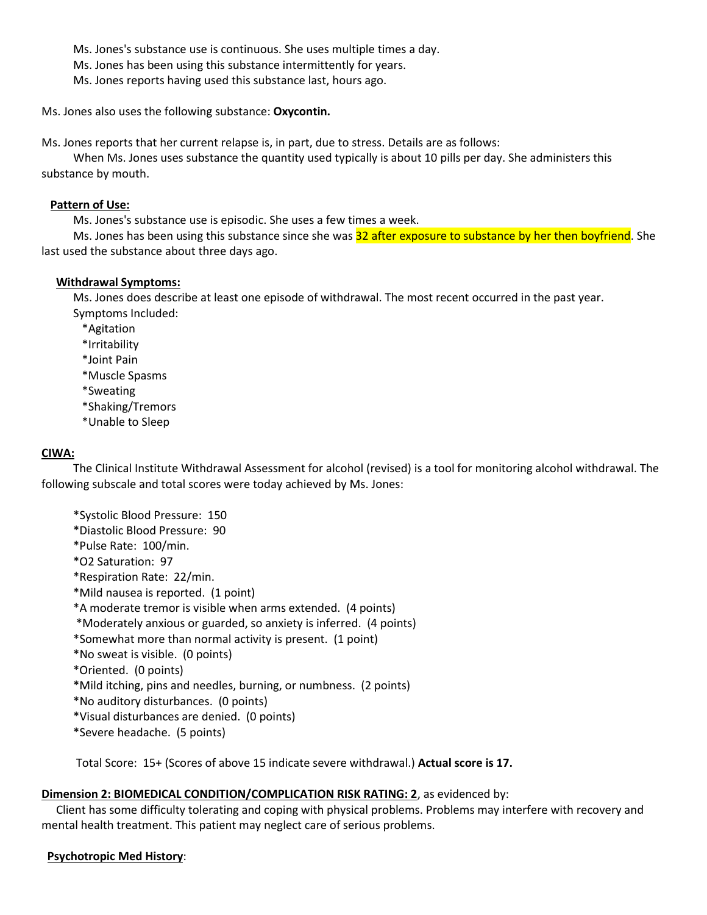Ms. Jones's substance use is continuous. She uses multiple times a day. Ms. Jones has been using this substance intermittently for years.

Ms. Jones reports having used this substance last, hours ago.

Ms. Jones also uses the following substance: Oxycontin.

Ms. Jones reports that her current relapse is, in part, due to stress. Details are as follows:

When Ms. Jones uses substance the quantity used typically is about 10 pills per day. She administers this substance by mouth.

#### **Pattern of Use:**

Ms. Jones's substance use is episodic. She uses a few times a week.

Ms. Jones has been using this substance since she was 32 after exposure to substance by her then boyfriend. She last used the substance about three days ago.

#### **Withdrawal Symptoms:**

Ms. Jones does describe at least one episode of withdrawal. The most recent occurred in the past year. Symptoms Included:

- \*Agitation
- \*Irritability
- \*Joint Pain
- \*Muscle Spasms
- \*Sweating
- \*Shaking/Tremors
- \*Unable to Sleep

## CIWA:

The Clinical Institute Withdrawal Assessment for alcohol (revised) is a tool for monitoring alcohol withdrawal. The following subscale and total scores were today achieved by Ms. Jones:

\*Systolic Blood Pressure: 150 \*Diastolic Blood Pressure: 90 \*Pulse Rate: 100/min. \*O2 Saturation: 97 \*Respiration Rate: 22/min. \*Mild nausea is reported. (1 point) \*A moderate tremor is visible when arms extended. (4 points) \*Moderately anxious or guarded, so anxiety is inferred. (4 points) \*Somewhat more than normal activity is present. (1 point) \*No sweat is visible. (0 points) \*Oriented. (0 points) \*Mild itching, pins and needles, burning, or numbness. (2 points) \*No auditory disturbances. (0 points) \*Visual disturbances are denied. (0 points) \*Severe headache. (5 points)

Total Score: 15+ (Scores of above 15 indicate severe withdrawal.) Actual score is 17.

## Dimension 2: BIOMEDICAL CONDITION/COMPLICATION RISK RATING: 2, as evidenced by:

Client has some difficulty tolerating and coping with physical problems. Problems may interfere with recovery and mental health treatment. This patient may neglect care of serious problems.

## **Psychotropic Med History:**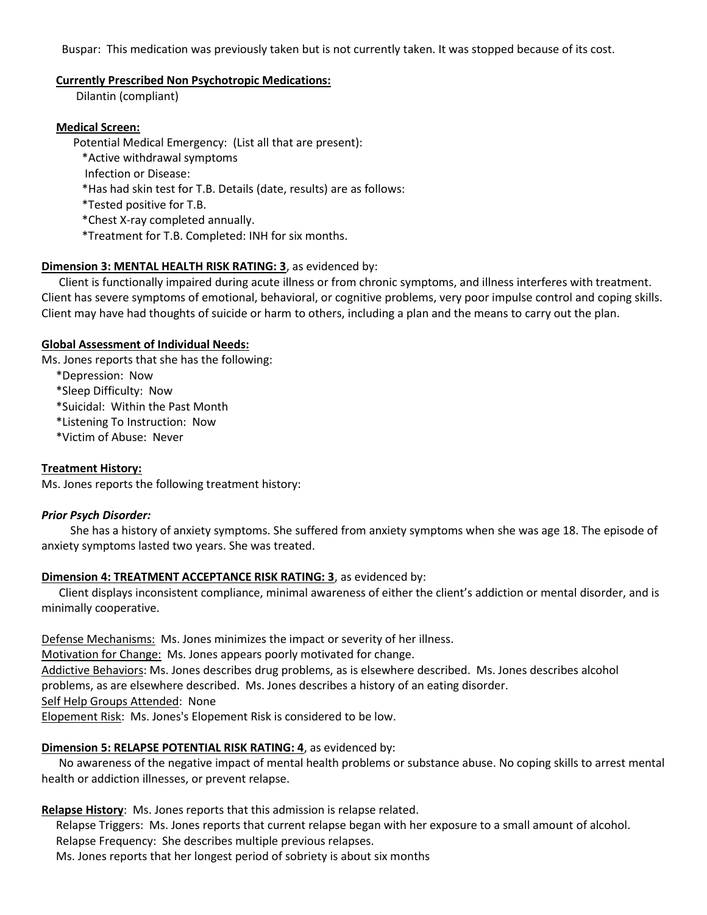Buspar: This medication was previously taken but is not currently taken. It was stopped because of its cost.

#### **Currently Prescribed Non Psychotropic Medications:**

Dilantin (compliant)

## **Medical Screen:**

Potential Medical Emergency: (List all that are present):

- \*Active withdrawal symptoms
- Infection or Disease:
- \*Has had skin test for T.B. Details (date, results) are as follows:
- \*Tested positive for T.B.
- \*Chest X-ray completed annually.
- \*Treatment for T.B. Completed: INH for six months.

# Dimension 3: MENTAL HEALTH RISK RATING: 3, as evidenced by:

Client is functionally impaired during acute illness or from chronic symptoms, and illness interferes with treatment. Client has severe symptoms of emotional, behavioral, or cognitive problems, very poor impulse control and coping skills. Client may have had thoughts of suicide or harm to others, including a plan and the means to carry out the plan.

## **Global Assessment of Individual Needs:**

Ms. Jones reports that she has the following:

\*Depression: Now

\*Sleep Difficulty: Now

\*Suicidal: Within the Past Month

\*Listening To Instruction: Now

\*Victim of Abuse: Never

## **Treatment History:**

Ms. Jones reports the following treatment history:

# **Prior Psych Disorder:**

She has a history of anxiety symptoms. She suffered from anxiety symptoms when she was age 18. The episode of anxiety symptoms lasted two years. She was treated.

## Dimension 4: TREATMENT ACCEPTANCE RISK RATING: 3, as evidenced by:

Client displays inconsistent compliance, minimal awareness of either the client's addiction or mental disorder, and is minimally cooperative.

Defense Mechanisms: Ms. Jones minimizes the impact or severity of her illness.

Motivation for Change: Ms. Jones appears poorly motivated for change.

Addictive Behaviors: Ms. Jones describes drug problems, as is elsewhere described. Ms. Jones describes alcohol

problems, as are elsewhere described. Ms. Jones describes a history of an eating disorder.

Self Help Groups Attended: None

Elopement Risk: Ms. Jones's Elopement Risk is considered to be low.

# Dimension 5: RELAPSE POTENTIAL RISK RATING: 4, as evidenced by:

No awareness of the negative impact of mental health problems or substance abuse. No coping skills to arrest mental health or addiction illnesses, or prevent relapse.

# Relapse History: Ms. Jones reports that this admission is relapse related.

Relapse Triggers: Ms. Jones reports that current relapse began with her exposure to a small amount of alcohol.

Relapse Frequency: She describes multiple previous relapses.

Ms. Jones reports that her longest period of sobriety is about six months